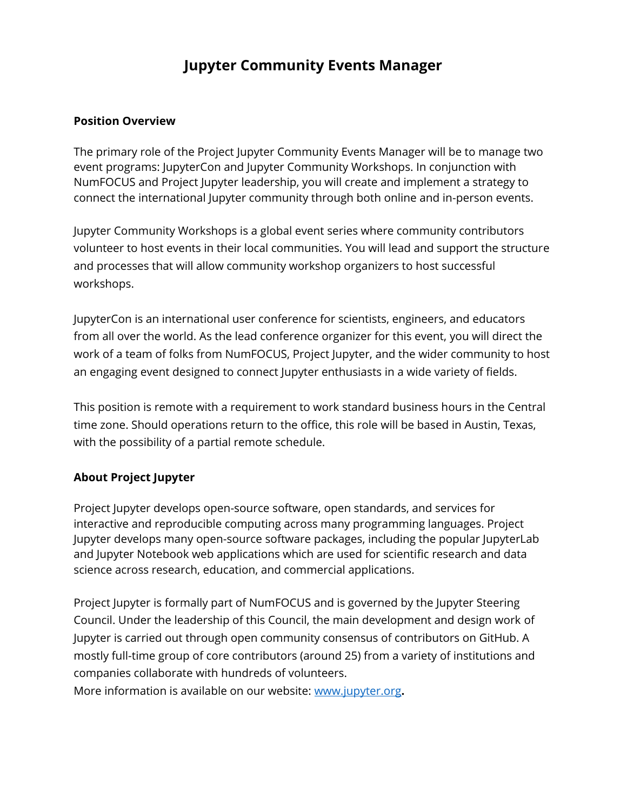# **Jupyter Community Events Manager**

#### **Position Overview**

The primary role of the Project Jupyter Community Events Manager will be to manage two event programs: JupyterCon and Jupyter Community Workshops. In conjunction with NumFOCUS and Project Jupyter leadership, you will create and implement a strategy to connect the international Jupyter community through both online and in-person events.

Jupyter Community Workshops is a global event series where community contributors volunteer to host events in their local communities. You will lead and support the structure and processes that will allow community workshop organizers to host successful workshops.

JupyterCon is an international user conference for scientists, engineers, and educators from all over the world. As the lead conference organizer for this event, you will direct the work of a team of folks from NumFOCUS, Project Jupyter, and the wider community to host an engaging event designed to connect Jupyter enthusiasts in a wide variety of fields.

This position is remote with a requirement to work standard business hours in the Central time zone. Should operations return to the office, this role will be based in Austin, Texas, with the possibility of a partial remote schedule.

#### **About Project Jupyter**

Project Jupyter develops open-source software, open standards, and services for interactive and reproducible computing across many programming languages. Project Jupyter develops many open-source software packages, including the popular JupyterLab and Jupyter Notebook web applications which are used for scientific research and data science across research, education, and commercial applications.

Project Jupyter is formally part of NumFOCUS and is governed by the Jupyter Steering Council. Under the leadership of this Council, the main development and design work of Jupyter is carried out through open community consensus of contributors on GitHub. A mostly full-time group of core contributors (around 25) from a variety of institutions and companies collaborate with hundreds of volunteers.

More information is available on our website: [www.jupyter.org](http://www.numfocus.org/)**.**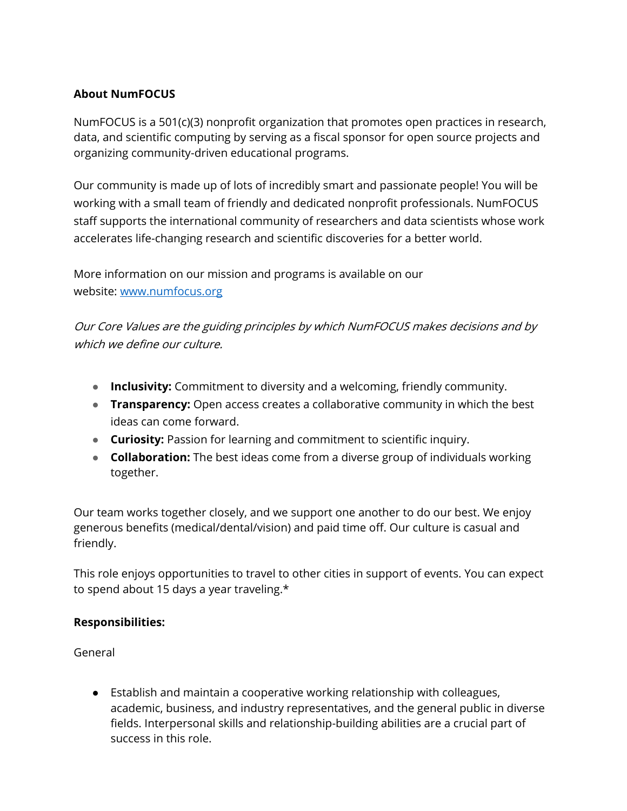## **About NumFOCUS**

NumFOCUS is a 501(c)(3) nonprofit organization that promotes open practices in research, data, and scientific computing by serving as a fiscal sponsor for open source projects and organizing community-driven educational programs.

Our community is made up of lots of incredibly smart and passionate people! You will be working with a small team of friendly and dedicated nonprofit professionals. NumFOCUS staff supports the international community of researchers and data scientists whose work accelerates life-changing research and scientific discoveries for a better world.

More information on our mission and programs is available on our website: [www.numfocus.org](http://www.numfocus.org/)

Our Core Values are the guiding principles by which NumFOCUS makes decisions and by which we define our culture.

- **Inclusivity:** Commitment to diversity and a welcoming, friendly community.
- **Transparency:** Open access creates a collaborative community in which the best ideas can come forward.
- **Curiosity:** Passion for learning and commitment to scientific inquiry.
- **Collaboration:** The best ideas come from a diverse group of individuals working together.

Our team works together closely, and we support one another to do our best. We enjoy generous benefits (medical/dental/vision) and paid time off. Our culture is casual and friendly.

This role enjoys opportunities to travel to other cities in support of events. You can expect to spend about 15 days a year traveling.\*

#### **Responsibilities:**

General

● Establish and maintain a cooperative working relationship with colleagues, academic, business, and industry representatives, and the general public in diverse fields. Interpersonal skills and relationship-building abilities are a crucial part of success in this role.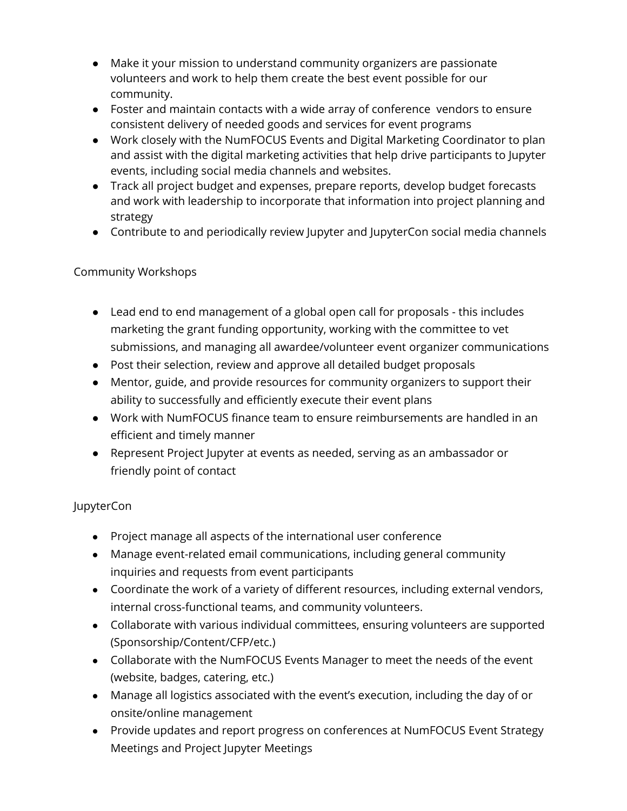- Make it your mission to understand community organizers are passionate volunteers and work to help them create the best event possible for our community.
- Foster and maintain contacts with a wide array of conference vendors to ensure consistent delivery of needed goods and services for event programs
- Work closely with the NumFOCUS Events and Digital Marketing Coordinator to plan and assist with the digital marketing activities that help drive participants to Jupyter events, including social media channels and websites.
- Track all project budget and expenses, prepare reports, develop budget forecasts and work with leadership to incorporate that information into project planning and strategy
- Contribute to and periodically review Jupyter and JupyterCon social media channels

## Community Workshops

- Lead end to end management of a global open call for proposals this includes marketing the grant funding opportunity, working with the committee to vet submissions, and managing all awardee/volunteer event organizer communications
- Post their selection, review and approve all detailed budget proposals
- Mentor, guide, and provide resources for community organizers to support their ability to successfully and efficiently execute their event plans
- Work with NumFOCUS finance team to ensure reimbursements are handled in an efficient and timely manner
- Represent Project Jupyter at events as needed, serving as an ambassador or friendly point of contact

## JupyterCon

- Project manage all aspects of the international user conference
- Manage event-related email communications, including general community inquiries and requests from event participants
- Coordinate the work of a variety of different resources, including external vendors, internal cross-functional teams, and community volunteers.
- Collaborate with various individual committees, ensuring volunteers are supported (Sponsorship/Content/CFP/etc.)
- Collaborate with the NumFOCUS Events Manager to meet the needs of the event (website, badges, catering, etc.)
- Manage all logistics associated with the event's execution, including the day of or onsite/online management
- Provide updates and report progress on conferences at NumFOCUS Event Strategy Meetings and Project Jupyter Meetings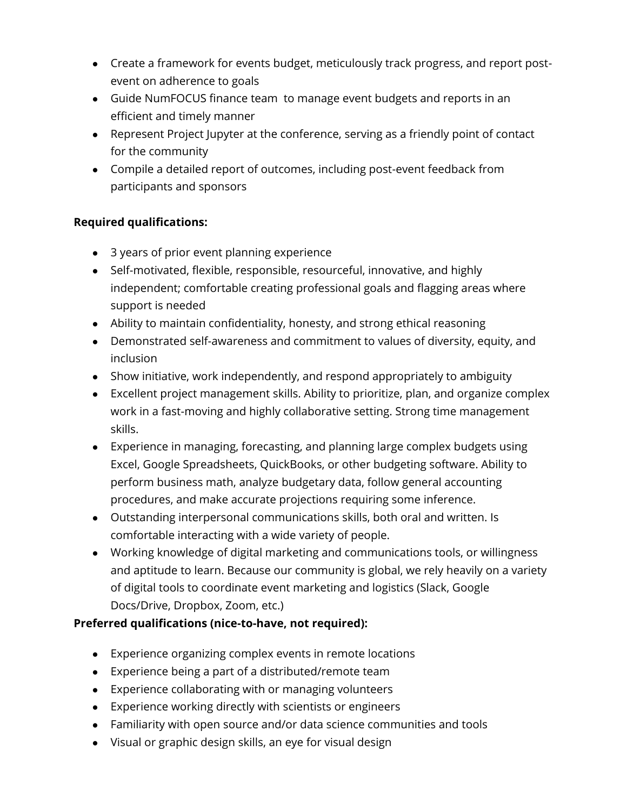- Create a framework for events budget, meticulously track progress, and report postevent on adherence to goals
- Guide NumFOCUS finance team to manage event budgets and reports in an efficient and timely manner
- Represent Project Jupyter at the conference, serving as a friendly point of contact for the community
- Compile a detailed report of outcomes, including post-event feedback from participants and sponsors

## **Required qualifications:**

- 3 years of prior event planning experience
- Self-motivated, flexible, responsible, resourceful, innovative, and highly independent; comfortable creating professional goals and flagging areas where support is needed
- Ability to maintain confidentiality, honesty, and strong ethical reasoning
- Demonstrated self-awareness and commitment to values of diversity, equity, and inclusion
- Show initiative, work independently, and respond appropriately to ambiguity
- Excellent project management skills. Ability to prioritize, plan, and organize complex work in a fast-moving and highly collaborative setting. Strong time management skills.
- Experience in managing, forecasting, and planning large complex budgets using Excel, Google Spreadsheets, QuickBooks, or other budgeting software. Ability to perform business math, analyze budgetary data, follow general accounting procedures, and make accurate projections requiring some inference.
- Outstanding interpersonal communications skills, both oral and written. Is comfortable interacting with a wide variety of people.
- Working knowledge of digital marketing and communications tools, or willingness and aptitude to learn. Because our community is global, we rely heavily on a variety of digital tools to coordinate event marketing and logistics (Slack, Google Docs/Drive, Dropbox, Zoom, etc.)

## **Preferred qualifications (nice-to-have, not required):**

- Experience organizing complex events in remote locations
- Experience being a part of a distributed/remote team
- Experience collaborating with or managing volunteers
- Experience working directly with scientists or engineers
- Familiarity with open source and/or data science communities and tools
- Visual or graphic design skills, an eye for visual design